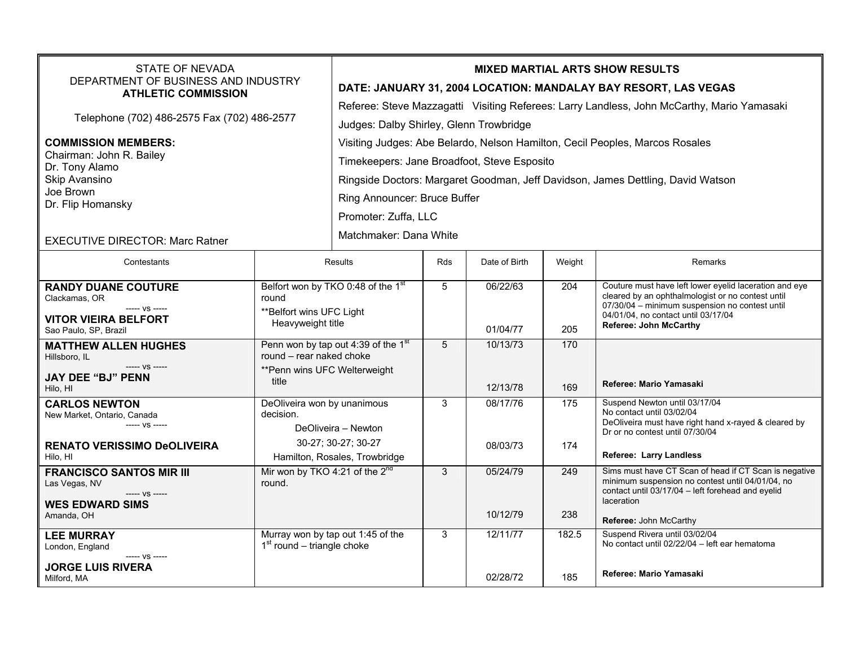| <b>STATE OF NEVADA</b><br>DEPARTMENT OF BUSINESS AND INDUSTRY<br><b>ATHLETIC COMMISSION</b>                                 |                                                                                                                         | <b>MIXED MARTIAL ARTS SHOW RESULTS</b><br>DATE: JANUARY 31, 2004 LOCATION: MANDALAY BAY RESORT, LAS VEGAS<br>Referee: Steve Mazzagatti Visiting Referees: Larry Landless, John McCarthy, Mario Yamasaki                                                                                          |            |                      |            |                                                                                                                                                                                                                                |  |
|-----------------------------------------------------------------------------------------------------------------------------|-------------------------------------------------------------------------------------------------------------------------|--------------------------------------------------------------------------------------------------------------------------------------------------------------------------------------------------------------------------------------------------------------------------------------------------|------------|----------------------|------------|--------------------------------------------------------------------------------------------------------------------------------------------------------------------------------------------------------------------------------|--|
| Telephone (702) 486-2575 Fax (702) 486-2577                                                                                 |                                                                                                                         | Judges: Dalby Shirley, Glenn Trowbridge                                                                                                                                                                                                                                                          |            |                      |            |                                                                                                                                                                                                                                |  |
| <b>COMMISSION MEMBERS:</b><br>Chairman: John R. Bailey<br>Dr. Tony Alamo<br>Skip Avansino<br>Joe Brown<br>Dr. Flip Homansky |                                                                                                                         | Visiting Judges: Abe Belardo, Nelson Hamilton, Cecil Peoples, Marcos Rosales<br>Timekeepers: Jane Broadfoot, Steve Esposito<br>Ringside Doctors: Margaret Goodman, Jeff Davidson, James Dettling, David Watson<br>Ring Announcer: Bruce Buffer<br>Promoter: Zuffa, LLC<br>Matchmaker: Dana White |            |                      |            |                                                                                                                                                                                                                                |  |
| <b>EXECUTIVE DIRECTOR: Marc Ratner</b>                                                                                      |                                                                                                                         |                                                                                                                                                                                                                                                                                                  |            |                      |            |                                                                                                                                                                                                                                |  |
| Contestants                                                                                                                 | <b>Results</b>                                                                                                          |                                                                                                                                                                                                                                                                                                  | <b>Rds</b> | Date of Birth        | Weight     | Remarks                                                                                                                                                                                                                        |  |
| <b>RANDY DUANE COUTURE</b><br>Clackamas, OR<br>$--- VS$ -----<br><b>VITOR VIEIRA BELFORT</b><br>Sao Paulo, SP, Brazil       | Belfort won by TKO 0:48 of the 1 <sup>st</sup><br>round<br>** Belfort wins UFC Light<br>Heavyweight title               |                                                                                                                                                                                                                                                                                                  | 5          | 06/22/63<br>01/04/77 | 204<br>205 | Couture must have left lower eyelid laceration and eye<br>cleared by an ophthalmologist or no contest until<br>07/30/04 - minimum suspension no contest until<br>04/01/04, no contact until 03/17/04<br>Referee: John McCarthy |  |
| <b>MATTHEW ALLEN HUGHES</b><br>Hillsboro. IL<br>$--- VS$ -----<br><b>JAY DEE "BJ" PENN</b><br>Hilo, HI                      | Penn won by tap out 4:39 of the 1 <sup>st</sup><br>round - rear naked choke<br>** Penn wins UFC Welterweight<br>title   |                                                                                                                                                                                                                                                                                                  | 5          | 10/13/73<br>12/13/78 | 170<br>169 | Referee: Mario Yamasaki                                                                                                                                                                                                        |  |
| <b>CARLOS NEWTON</b><br>New Market, Ontario, Canada<br>----- VS -----<br><b>RENATO VERISSIMO DeOLIVEIRA</b><br>Hilo. HI     | DeOliveira won by unanimous<br>decision.<br>DeOliveira - Newton<br>30-27; 30-27; 30-27<br>Hamilton, Rosales, Trowbridge |                                                                                                                                                                                                                                                                                                  | 3          | 08/17/76<br>08/03/73 | 175<br>174 | Suspend Newton until 03/17/04<br>No contact until 03/02/04<br>DeOliveira must have right hand x-rayed & cleared by<br>Dr or no contest until 07/30/04<br><b>Referee: Larry Landless</b>                                        |  |
| <b>FRANCISCO SANTOS MIR III</b><br>Las Vegas, NV<br>$--- VS$ -----<br><b>WES EDWARD SIMS</b><br>Amanda, OH                  | Mir won by TKO 4:21 of the 2 <sup>nd</sup><br>round.                                                                    |                                                                                                                                                                                                                                                                                                  | 3          | 05/24/79<br>10/12/79 | 249<br>238 | Sims must have CT Scan of head if CT Scan is negative<br>minimum suspension no contest until 04/01/04, no<br>contact until 03/17/04 - left forehead and eyelid<br>laceration                                                   |  |
| <b>LEE MURRAY</b><br>London, England<br>----- VS -----                                                                      | Murray won by tap out 1:45 of the<br>$1st$ round – triangle choke                                                       |                                                                                                                                                                                                                                                                                                  | 3          | 12/11/77             | 182.5      | Referee: John McCarthy<br>Suspend Rivera until 03/02/04<br>No contact until 02/22/04 - left ear hematoma                                                                                                                       |  |
| <b>JORGE LUIS RIVERA</b><br>Milford, MA                                                                                     |                                                                                                                         |                                                                                                                                                                                                                                                                                                  |            | 02/28/72             | 185        | Referee: Mario Yamasaki                                                                                                                                                                                                        |  |